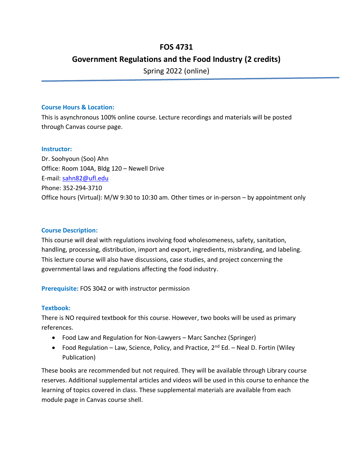# **FOS 4731**

# **Government Regulations and the Food Industry (2 credits)**

Spring 2022 (online)

#### **Course Hours & Location:**

This is asynchronous 100% online course. Lecture recordings and materials will be posted through Canvas course page.

### **Instructor:**

Dr. Soohyoun (Soo) Ahn Office: Room 104A, Bldg 120 – Newell Drive E-mail: [sahn82@ufl.edu](mailto:sahn82@ufl.edu) Phone: 352-294-3710 Office hours (Virtual): M/W 9:30 to 10:30 am. Other times or in-person – by appointment only

# **Course Description:**

This course will deal with regulations involving food wholesomeness, safety, sanitation, handling, processing, distribution, import and export, ingredients, misbranding, and labeling. This lecture course will also have discussions, case studies, and project concerning the governmental laws and regulations affecting the food industry.

**Prerequisite:** FOS 3042 or with instructor permission

# **Textbook:**

There is NO required textbook for this course. However, two books will be used as primary references.

- Food Law and Regulation for Non-Lawyers Marc Sanchez (Springer)
- Food Regulation Law, Science, Policy, and Practice,  $2^{nd}$  Ed. Neal D. Fortin (Wiley Publication)

These books are recommended but not required. They will be available through Library course reserves. Additional supplemental articles and videos will be used in this course to enhance the learning of topics covered in class. These supplemental materials are available from each module page in Canvas course shell.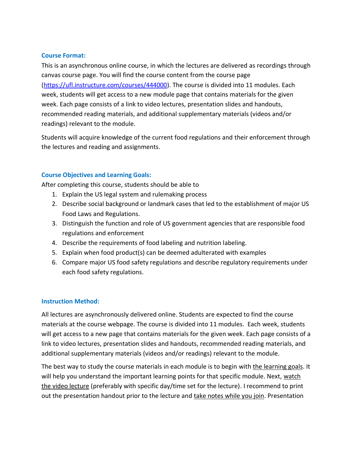#### **Course Format:**

This is an asynchronous online course, in which the lectures are delivered as recordings through canvas course page. You will find the course content from the course page [\(https://ufl.instructure.com/courses/444000\)](https://ufl.instructure.com/courses/444000). The course is divided into 11 modules. Each week, students will get access to a new module page that contains materials for the given week. Each page consists of a link to video lectures, presentation slides and handouts, recommended reading materials, and additional supplementary materials (videos and/or readings) relevant to the module.

Students will acquire knowledge of the current food regulations and their enforcement through the lectures and reading and assignments.

#### **Course Objectives and Learning Goals:**

After completing this course, students should be able to

- 1. Explain the US legal system and rulemaking process
- 2. Describe social background or landmark cases that led to the establishment of major US Food Laws and Regulations.
- 3. Distinguish the function and role of US government agencies that are responsible food regulations and enforcement
- 4. Describe the requirements of food labeling and nutrition labeling.
- 5. Explain when food product(s) can be deemed adulterated with examples
- 6. Compare major US food safety regulations and describe regulatory requirements under each food safety regulations.

#### **Instruction Method:**

All lectures are asynchronously delivered online. Students are expected to find the course materials at the course webpage. The course is divided into 11 modules. Each week, students will get access to a new page that contains materials for the given week. Each page consists of a link to video lectures, presentation slides and handouts, recommended reading materials, and additional supplementary materials (videos and/or readings) relevant to the module.

The best way to study the course materials in each module is to begin with the learning goals. It will help you understand the important learning points for that specific module. Next, watch the video lecture (preferably with specific day/time set for the lecture). I recommend to print out the presentation handout prior to the lecture and take notes while you join. Presentation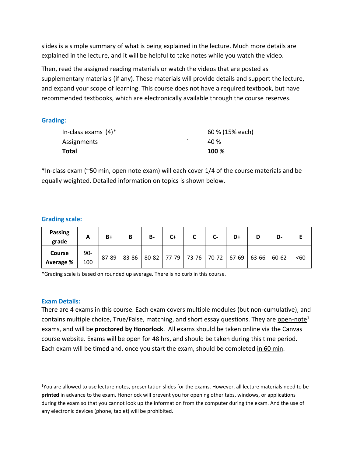slides is a simple summary of what is being explained in the lecture. Much more details are explained in the lecture, and it will be helpful to take notes while you watch the video.

Then, read the assigned reading materials or watch the videos that are posted as supplementary materials (if any). These materials will provide details and support the lecture, and expand your scope of learning. This course does not have a required textbook, but have recommended textbooks, which are electronically available through the course reserves.

**Grading:**

| Total               | 100 %           |
|---------------------|-----------------|
| Assignments         | 40 <sup>%</sup> |
| In-class exams (4)* | 60 % (15% each) |

\*In-class exam (~50 min, open note exam) will each cover 1/4 of the course materials and be equally weighted. Detailed information on topics is shown below.

# **Grading scale:**

| <b>Passing</b><br>grade    | A          | $B+$  | B     | <b>B-</b> | $C+$ |                                     | $C-$ | D+ | D-    |      |
|----------------------------|------------|-------|-------|-----------|------|-------------------------------------|------|----|-------|------|
| <b>Course</b><br>Average % | 90-<br>100 | 87-89 | 83-86 |           |      | 80-82 77-79 73-76 70-72 67-69 63-66 |      |    | 60-62 | $60$ |

\*Grading scale is based on rounded up average. There is no curb in this course.

#### **Exam Details:**

There are 4 exams in this course. Each exam covers multiple modules (but non-cumulative), and contains multiple choice, True/False, matching, and short essay questions. They are open-note<sup>1</sup> exams, and will be **proctored by Honorlock**. All exams should be taken online via the Canvas course website. Exams will be open for 48 hrs, and should be taken during this time period. Each exam will be timed and, once you start the exam, should be completed in 60 min.

<sup>1</sup>You are allowed to use lecture notes, presentation slides for the exams. However, all lecture materials need to be **printed** in advance to the exam. Honorlock will prevent you for opening other tabs, windows, or applications during the exam so that you cannot look up the information from the computer during the exam. And the use of any electronic devices (phone, tablet) will be prohibited.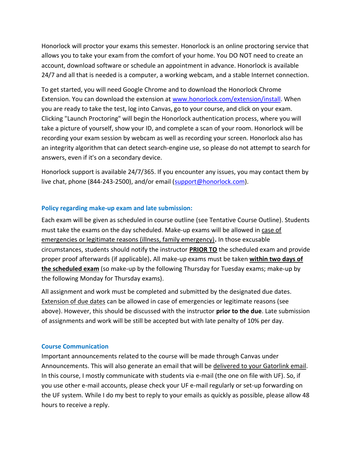Honorlock will proctor your exams this semester. Honorlock is an online proctoring service that allows you to take your exam from the comfort of your home. You DO NOT need to create an account, download software or schedule an appointment in advance. Honorlock is available 24/7 and all that is needed is a computer, a working webcam, and a stable Internet connection.

To get started, you will need Google Chrome and to download the Honorlock Chrome Extension. You can download the extension at [www.honorlock.com/extension/install.](http://www.honorlock.com/extension/install) When you are ready to take the test, log into Canvas, go to your course, and click on your exam. Clicking "Launch Proctoring" will begin the Honorlock authentication process, where you will take a picture of yourself, show your ID, and complete a scan of your room. Honorlock will be recording your exam session by webcam as well as recording your screen. Honorlock also has an integrity algorithm that can detect search-engine use, so please do not attempt to search for answers, even if it's on a secondary device.

Honorlock support is available 24/7/365. If you encounter any issues, you may contact them by live chat, phone (844-243-2500), and/or email [\(support@honorlock.com\)](mailto:support@honorlock.com).

#### **Policy regarding make-up exam and late submission:**

Each exam will be given as scheduled in course outline (see Tentative Course Outline). Students must take the exams on the day scheduled. Make-up exams will be allowed in case of emergencies or legitimate reasons (illness, family emergency)**.** In those excusable circumstances, students should notify the instructor **PRIOR TO** the scheduled exam and provide proper proof afterwards (if applicable)**.** All make-up exams must be taken **within two days of the scheduled exam** (so make-up by the following Thursday for Tuesday exams; make-up by the following Monday for Thursday exams).

All assignment and work must be completed and submitted by the designated due dates. Extension of due dates can be allowed in case of emergencies or legitimate reasons (see above). However, this should be discussed with the instructor **prior to the due**. Late submission of assignments and work will be still be accepted but with late penalty of 10% per day.

#### **Course Communication**

Important announcements related to the course will be made through Canvas under Announcements. This will also generate an email that will be delivered to your Gatorlink email. In this course, I mostly communicate with students via e-mail (the one on file with UF). So, if you use other e-mail accounts, please check your UF e-mail regularly or set-up forwarding on the UF system. While I do my best to reply to your emails as quickly as possible, please allow 48 hours to receive a reply.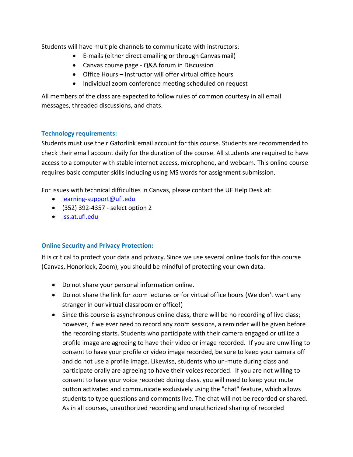Students will have multiple channels to communicate with instructors:

- E-mails (either direct emailing or through Canvas mail)
- Canvas course page Q&A forum in Discussion
- Office Hours Instructor will offer virtual office hours
- Individual zoom conference meeting scheduled on request

All members of the class are expected to follow rules of common courtesy in all email messages, threaded discussions, and chats.

# **Technology requirements:**

Students must use their Gatorlink email account for this course. Students are recommended to check their email account daily for the duration of the course. All students are required to have access to a computer with stable internet access, microphone, and webcam. This online course requires basic computer skills including using MS words for assignment submission.

For issues with technical difficulties in Canvas, please contact the UF Help Desk at:

- [learning-support@ufl.edu](mailto:learning-support@ufl.edu)
- (352) 392-4357 select option 2
- [lss.at.ufl.edu](https://lss.at.ufl.edu/help.shtml)

# **Online Security and Privacy Protection:**

It is critical to protect your data and privacy. Since we use several online tools for this course (Canvas, Honorlock, Zoom), you should be mindful of protecting your own data.

- Do not share your personal information online.
- Do not share the link for zoom lectures or for virtual office hours (We don't want any stranger in our virtual classroom or office!)
- Since this course is asynchronous online class, there will be no recording of live class; however, if we ever need to record any zoom sessions, a reminder will be given before the recording starts. Students who participate with their camera engaged or utilize a profile image are agreeing to have their video or image recorded. If you are unwilling to consent to have your profile or video image recorded, be sure to keep your camera off and do not use a profile image. Likewise, students who un-mute during class and participate orally are agreeing to have their voices recorded. If you are not willing to consent to have your voice recorded during class, you will need to keep your mute button activated and communicate exclusively using the "chat" feature, which allows students to type questions and comments live. The chat will not be recorded or shared. As in all courses, unauthorized recording and unauthorized sharing of recorded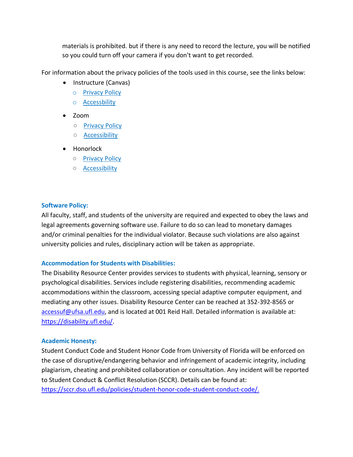materials is prohibited. but if there is any need to record the lecture, you will be notified so you could turn off your camera if you don't want to get recorded.

For information about the privacy policies of the tools used in this course, see the links below:

- Instructure (Canvas)
	- o [Privacy Policy](https://www.instructure.com/policies/privacy)
	- o [Accessbility](https://www.instructure.com/canvas/accessibility)
- Zoom
	- [Privacy Policy](https://zoom.us/privacy)
	- [Accessibility](https://zoom.us/accessibility)
- Honorlock
	- [Privacy Policy](https://honorlock.com/student-privacy-statement/)
	- [Accessibility](https://honorlock.com/accessibility-statement/)

# **Software Policy:**

All faculty, staff, and students of the university are required and expected to obey the laws and legal agreements governing software use. Failure to do so can lead to monetary damages and/or criminal penalties for the individual violator. Because such violations are also against university policies and rules, disciplinary action will be taken as appropriate.

# **Accommodation for Students with Disabilities:**

The Disability Resource Center provides services to students with physical, learning, sensory or psychological disabilities. Services include registering disabilities, recommending academic accommodations within the classroom, accessing special adaptive computer equipment, and mediating any other issues. Disability Resource Center can be reached at 352-392-8565 or [accessuf@ufsa.ufl.edu,](mailto:accessuf@ufsa.ufl.edu) and is located at 001 Reid Hall. Detailed information is available at: [https://disability.ufl.edu/.](https://disability.ufl.edu/)

# **Academic Honesty:**

Student Conduct Code and Student Honor Code from University of Florida will be enforced on the case of disruptive/endangering behavior and infringement of academic integrity, including plagiarism, cheating and prohibited collaboration or consultation. Any incident will be reported to Student Conduct & Conflict Resolution (SCCR). Details can be found at: [https://sccr.dso.ufl.edu/policies/student-honor-code-student-conduct-code/.](https://sccr.dso.ufl.edu/policies/student-honor-code-student-conduct-code/)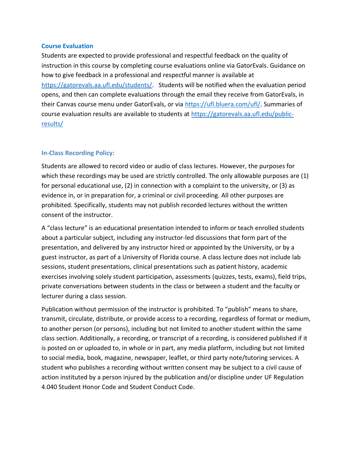#### **Course Evaluation**

Students are expected to provide professional and respectful feedback on the quality of instruction in this course by completing course evaluations online via GatorEvals. Guidance on how to give feedback in a professional and respectful manner is available at [https://gatorevals.aa.ufl.edu/students/.](https://gatorevals.aa.ufl.edu/students/) Students will be notified when the evaluation period opens, and then can complete evaluations through the email they receive from GatorEvals, in their Canvas course menu under GatorEvals, or via [https://ufl.bluera.com/ufl/.](https://ufl.bluera.com/ufl/) Summaries of course evaluation results are available to students at [https://gatorevals.aa.ufl.edu/public](https://gatorevals.aa.ufl.edu/public-results/)[results/](https://gatorevals.aa.ufl.edu/public-results/)

### **In-Class Recording Policy:**

Students are allowed to record video or audio of class lectures. However, the purposes for which these recordings may be used are strictly controlled. The only allowable purposes are (1) for personal educational use, (2) in connection with a complaint to the university, or (3) as evidence in, or in preparation for, a criminal or civil proceeding. All other purposes are prohibited. Specifically, students may not publish recorded lectures without the written consent of the instructor.

A "class lecture" is an educational presentation intended to inform or teach enrolled students about a particular subject, including any instructor-led discussions that form part of the presentation, and delivered by any instructor hired or appointed by the University, or by a guest instructor, as part of a University of Florida course. A class lecture does not include lab sessions, student presentations, clinical presentations such as patient history, academic exercises involving solely student participation, assessments (quizzes, tests, exams), field trips, private conversations between students in the class or between a student and the faculty or lecturer during a class session.

Publication without permission of the instructor is prohibited. To "publish" means to share, transmit, circulate, distribute, or provide access to a recording, regardless of format or medium, to another person (or persons), including but not limited to another student within the same class section. Additionally, a recording, or transcript of a recording, is considered published if it is posted on or uploaded to, in whole or in part, any media platform, including but not limited to social media, book, magazine, newspaper, leaflet, or third party note/tutoring services. A student who publishes a recording without written consent may be subject to a civil cause of action instituted by a person injured by the publication and/or discipline under UF Regulation 4.040 Student Honor Code and Student Conduct Code.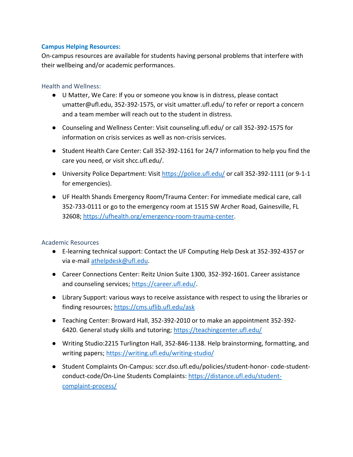### **Campus Helping Resources:**

On-campus resources are available for students having personal problems that interfere with their wellbeing and/or academic performances.

#### Health and Wellness:

- U Matter, We Care: If you or someone you know is in distress, please contact umatter@ufl.edu, 352-392-1575, or visit umatter.ufl.edu/ to refer or report a concern and a team member will reach out to the student in distress.
- Counseling and Wellness Center: Visit counseling.ufl.edu/ or call 352-392-1575 for information on crisis services as well as non-crisis services.
- Student Health Care Center: Call 352-392-1161 for 24/7 information to help you find the care you need, or visit shcc.ufl.edu/.
- University Police Department: Visit<https://police.ufl.edu/> or call 352-392-1111 (or 9-1-1 for emergencies).
- UF Health Shands Emergency Room/Trauma Center: For immediate medical care, call 352-733-0111 or go to the emergency room at 1515 SW Archer Road, Gainesville, FL 32608; [https://ufhealth.org/emergency-room-trauma-center.](https://ufhealth.org/emergency-room-trauma-center)

# Academic Resources

- E-learning technical support: Contact the UF Computing Help Desk at 352-392-4357 or via e-mail [athelpdesk@ufl.edu.](mailto:athelpdesk@ufl.edu)
- Career Connections Center: Reitz Union Suite 1300, 352-392-1601. Career assistance and counseling services; [https://career.ufl.edu/.](https://career.ufl.edu/)
- Library Support: various ways to receive assistance with respect to using the libraries or finding resources;<https://cms.uflib.ufl.edu/ask>
- Teaching Center: Broward Hall, 352-392-2010 or to make an appointment 352-392 6420. General study skills and tutoring;<https://teachingcenter.ufl.edu/>
- Writing Studio:2215 Turlington Hall, 352-846-1138. Help brainstorming, formatting, and writing papers;<https://writing.ufl.edu/writing-studio/>
- Student Complaints On-Campus: sccr.dso.ufl.edu/policies/student-honor- code-studentconduct-code/On-Line Students Complaints: [https://distance.ufl.edu/student](https://distance.ufl.edu/student-complaint-process/)[complaint-process/](https://distance.ufl.edu/student-complaint-process/)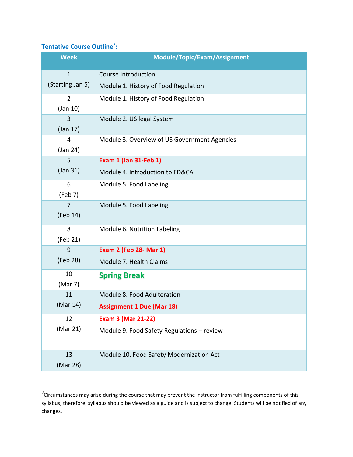## **Tentative Course Outline<sup>2</sup> :**

| <b>Week</b>      | Module/Topic/Exam/Assignment                 |
|------------------|----------------------------------------------|
| $\mathbf{1}$     | <b>Course Introduction</b>                   |
| (Starting Jan 5) | Module 1. History of Food Regulation         |
| $\overline{2}$   | Module 1. History of Food Regulation         |
| $($ Jan 10 $)$   |                                              |
| 3                | Module 2. US legal System                    |
| $($ Jan 17 $)$   |                                              |
| $\overline{4}$   | Module 3. Overview of US Government Agencies |
| (Jan 24)         |                                              |
| 5                | <b>Exam 1 (Jan 31-Feb 1)</b>                 |
| $($ Jan 31 $)$   | Module 4. Introduction to FD&CA              |
| 6                | Module 5. Food Labeling                      |
| (Feb 7)          |                                              |
| $\overline{7}$   | Module 5. Food Labeling                      |
| (Feb 14)         |                                              |
| 8                | Module 6. Nutrition Labeling                 |
| (Feb 21)         |                                              |
| 9                | <b>Exam 2 (Feb 28- Mar 1)</b>                |
| (Feb 28)         | Module 7. Health Claims                      |
| 10               | <b>Spring Break</b>                          |
| (Mar 7)          |                                              |
| 11               | Module 8. Food Adulteration                  |
| (Mar 14)         | <b>Assignment 1 Due (Mar 18)</b>             |
| 12               | <b>Exam 3 (Mar 21-22)</b>                    |
| (Mar 21)         | Module 9. Food Safety Regulations - review   |
|                  |                                              |
| 13               | Module 10. Food Safety Modernization Act     |
| (Mar 28)         |                                              |

 $^{2}$ Circumstances may arise during the course that may prevent the instructor from fulfilling components of this syllabus; therefore, syllabus should be viewed as a guide and is subject to change. Students will be notified of any changes.